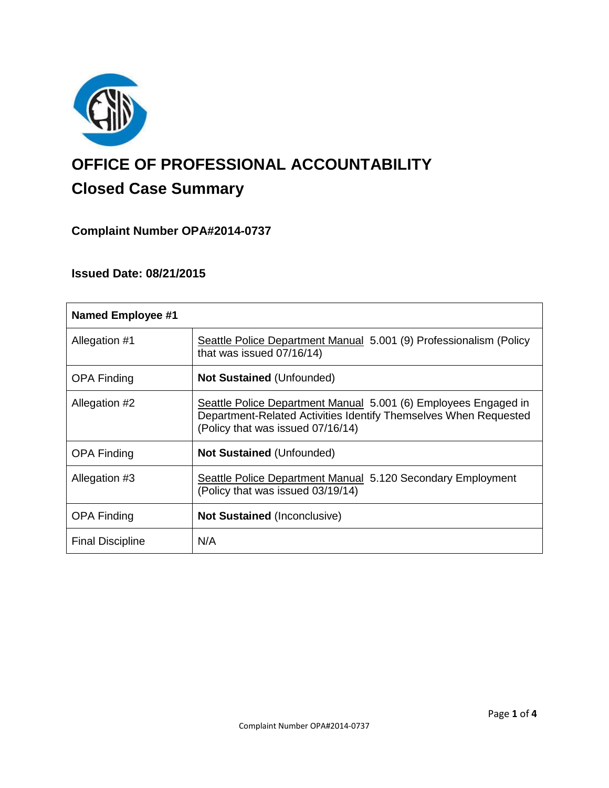

# **OFFICE OF PROFESSIONAL ACCOUNTABILITY Closed Case Summary**

# **Complaint Number OPA#2014-0737**

# **Issued Date: 08/21/2015**

| <b>Named Employee #1</b> |                                                                                                                                                                          |
|--------------------------|--------------------------------------------------------------------------------------------------------------------------------------------------------------------------|
| Allegation #1            | Seattle Police Department Manual 5.001 (9) Professionalism (Policy<br>that was issued $07/16/14$ )                                                                       |
| <b>OPA Finding</b>       | <b>Not Sustained (Unfounded)</b>                                                                                                                                         |
| Allegation #2            | Seattle Police Department Manual 5.001 (6) Employees Engaged in<br>Department-Related Activities Identify Themselves When Requested<br>(Policy that was issued 07/16/14) |
| <b>OPA Finding</b>       | <b>Not Sustained (Unfounded)</b>                                                                                                                                         |
| Allegation #3            | Seattle Police Department Manual 5.120 Secondary Employment<br>(Policy that was issued 03/19/14)                                                                         |
| <b>OPA Finding</b>       | <b>Not Sustained (Inconclusive)</b>                                                                                                                                      |
| <b>Final Discipline</b>  | N/A                                                                                                                                                                      |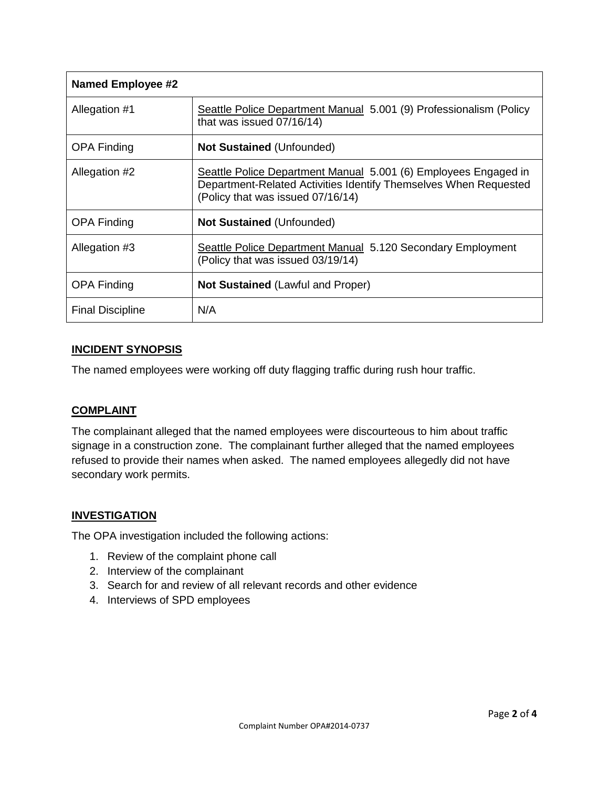| <b>Named Employee #2</b> |                                                                                                                                                                          |
|--------------------------|--------------------------------------------------------------------------------------------------------------------------------------------------------------------------|
| Allegation #1            | Seattle Police Department Manual 5.001 (9) Professionalism (Policy<br>that was issued 07/16/14)                                                                          |
| <b>OPA Finding</b>       | <b>Not Sustained (Unfounded)</b>                                                                                                                                         |
| Allegation #2            | Seattle Police Department Manual 5.001 (6) Employees Engaged in<br>Department-Related Activities Identify Themselves When Requested<br>(Policy that was issued 07/16/14) |
| <b>OPA Finding</b>       | <b>Not Sustained (Unfounded)</b>                                                                                                                                         |
| Allegation #3            | Seattle Police Department Manual 5.120 Secondary Employment<br>(Policy that was issued 03/19/14)                                                                         |
| <b>OPA Finding</b>       | <b>Not Sustained (Lawful and Proper)</b>                                                                                                                                 |
| <b>Final Discipline</b>  | N/A                                                                                                                                                                      |

## **INCIDENT SYNOPSIS**

The named employees were working off duty flagging traffic during rush hour traffic.

## **COMPLAINT**

The complainant alleged that the named employees were discourteous to him about traffic signage in a construction zone. The complainant further alleged that the named employees refused to provide their names when asked. The named employees allegedly did not have secondary work permits.

## **INVESTIGATION**

The OPA investigation included the following actions:

- 1. Review of the complaint phone call
- 2. Interview of the complainant
- 3. Search for and review of all relevant records and other evidence
- 4. Interviews of SPD employees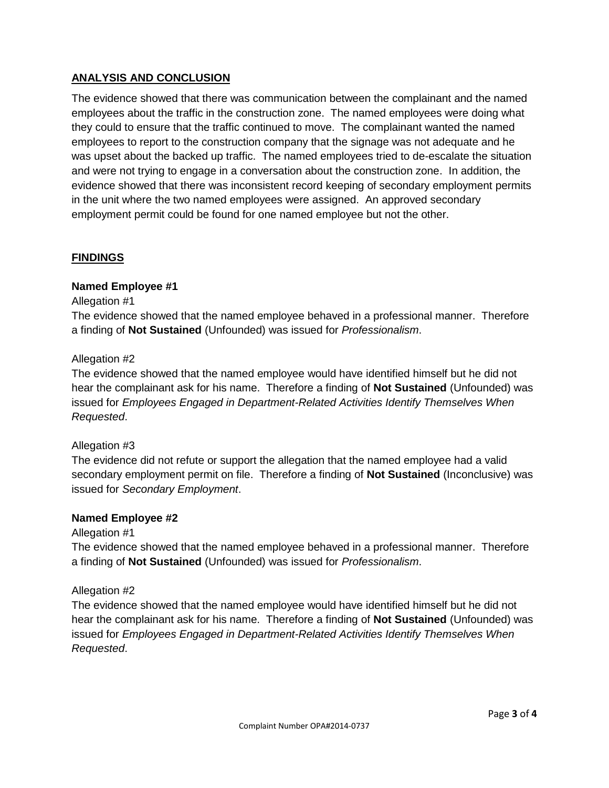# **ANALYSIS AND CONCLUSION**

The evidence showed that there was communication between the complainant and the named employees about the traffic in the construction zone. The named employees were doing what they could to ensure that the traffic continued to move. The complainant wanted the named employees to report to the construction company that the signage was not adequate and he was upset about the backed up traffic. The named employees tried to de-escalate the situation and were not trying to engage in a conversation about the construction zone. In addition, the evidence showed that there was inconsistent record keeping of secondary employment permits in the unit where the two named employees were assigned. An approved secondary employment permit could be found for one named employee but not the other.

## **FINDINGS**

## **Named Employee #1**

#### Allegation #1

The evidence showed that the named employee behaved in a professional manner. Therefore a finding of **Not Sustained** (Unfounded) was issued for *Professionalism*.

#### Allegation #2

The evidence showed that the named employee would have identified himself but he did not hear the complainant ask for his name. Therefore a finding of **Not Sustained** (Unfounded) was issued for *Employees Engaged in Department-Related Activities Identify Themselves When Requested*.

## Allegation #3

The evidence did not refute or support the allegation that the named employee had a valid secondary employment permit on file. Therefore a finding of **Not Sustained** (Inconclusive) was issued for *Secondary Employment*.

#### **Named Employee #2**

#### Allegation #1

The evidence showed that the named employee behaved in a professional manner. Therefore a finding of **Not Sustained** (Unfounded) was issued for *Professionalism*.

## Allegation #2

The evidence showed that the named employee would have identified himself but he did not hear the complainant ask for his name. Therefore a finding of **Not Sustained** (Unfounded) was issued for *Employees Engaged in Department-Related Activities Identify Themselves When Requested*.